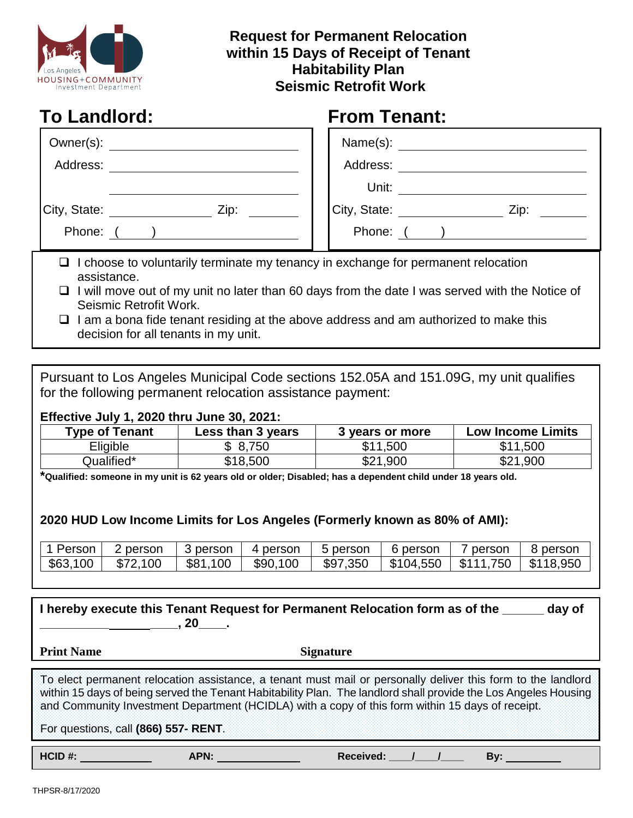

## **Request for Permanent Relocation within 15 Days of Receipt of Tenant Habitability Plan Seismic Retrofit Work**

| <b>To Landlord:</b>                                                                                                               | <b>From Tenant:</b>                                                                                   |
|-----------------------------------------------------------------------------------------------------------------------------------|-------------------------------------------------------------------------------------------------------|
|                                                                                                                                   |                                                                                                       |
| Address:                                                                                                                          | Address:                                                                                              |
|                                                                                                                                   | Unit:                                                                                                 |
| City, State: Zip:                                                                                                                 | City, State: ____________________ Zip: _                                                              |
| Phone: ( )                                                                                                                        | Phone: ( )                                                                                            |
| $\Box$ I choose to voluntarily terminate my tenancy in exchange for permanent relocation<br>assistance.<br>Seismic Retrofit Work. | $\Box$ I will move out of my unit no later than 60 days from the date I was served with the Notice of |

 $\Box$  I am a bona fide tenant residing at the above address and am authorized to make this decision for all tenants in my unit.

 $\overline{a}$ Pursuant to Los Angeles Municipal Code sections 152.05A and 151.09G, my unit qualifies for the following permanent relocation assistance payment:

## **Effective July 1, 2020 thru June 30, 2021:**

| <b>Type of Tenant</b> | Less than 3 years | 3 years or more | <b>Low Income Limits</b> |
|-----------------------|-------------------|-----------------|--------------------------|
| Eligible              | \$8,750           | \$11,500        | \$11,500                 |
| Qualified*            | \$18,500          | \$21,900        | \$21,900                 |

**\*Qualified: someone in my unit is 62 years old or older; Disabled; has a dependent child under 18 years old.**

## **2020 HUD Low Income Limits for Los Angeles (Formerly known as 80% of AMI):**

| $\boldsymbol{\mathcal{A}}$<br>Person | person       | ' person     | 4 person | <b>b</b> person | 6 person  | person       | person    |
|--------------------------------------|--------------|--------------|----------|-----------------|-----------|--------------|-----------|
| \$63,100                             | 100<br>\$72. | \$81.<br>100 | \$90,100 | \$97,350        | \$104,550 | 750<br>\$111 | \$118,950 |

| I hereby execute this Tenant Request for Permanent Relocation form as of the<br>day of<br>.20                                                                                                                                                                                                                                       |      |                  |  |     |  |
|-------------------------------------------------------------------------------------------------------------------------------------------------------------------------------------------------------------------------------------------------------------------------------------------------------------------------------------|------|------------------|--|-----|--|
| <b>Print Name</b>                                                                                                                                                                                                                                                                                                                   |      | <b>Signature</b> |  |     |  |
| To elect permanent relocation assistance, a tenant must mail or personally deliver this form to the landlord<br>within 15 days of being served the Tenant Habitability Plan. The landlord shall provide the Los Angeles Housing<br>and Community Investment Department (HCIDLA) with a copy of this form within 15 days of receipt. |      |                  |  |     |  |
| For questions, call (866) 557- RENT.                                                                                                                                                                                                                                                                                                |      |                  |  |     |  |
| HCID #:                                                                                                                                                                                                                                                                                                                             | APN: | Received:        |  | Bv: |  |